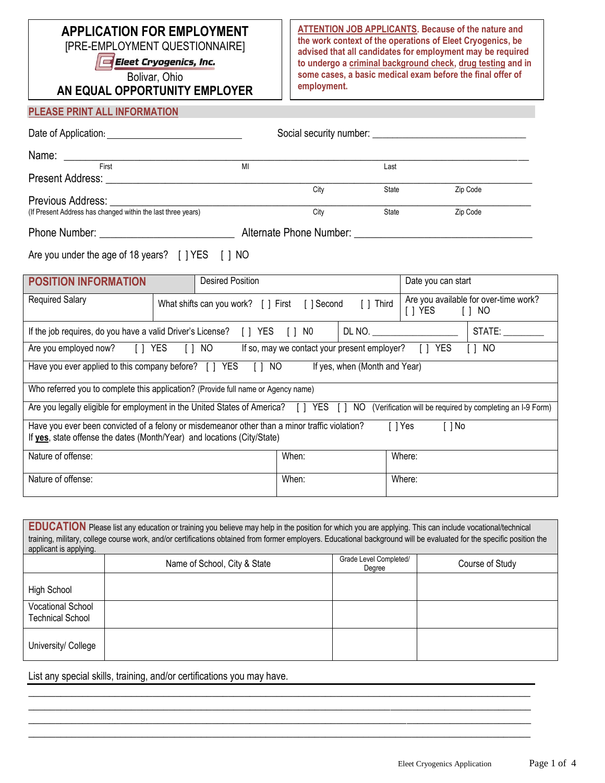# **APPLICATION FOR EMPLOYMENT**

[PRE-EMPLOYMENT QUESTIONNAIRE]

Eleet Cryogenics, Inc.

Bolivar, Ohio

**AN EQUAL OPPORTUNITY EMPLOYER**

**ATTENTION JOB APPLICANTS. Because of the nature and the work context of the operations of Eleet Cryogenics, be advised that all candidates for employment may be required to undergo a criminal background check, drug testing and in some cases, a basic medical exam before the final offer of employment.**

#### **PLEASE PRINT ALL INFORMATION**

| First                                                                                                        |  | MI                                                       |      | Last  |                    |                                       |
|--------------------------------------------------------------------------------------------------------------|--|----------------------------------------------------------|------|-------|--------------------|---------------------------------------|
| Present Address: National Present Address:                                                                   |  |                                                          |      |       |                    |                                       |
|                                                                                                              |  |                                                          | City | State |                    | Zip Code                              |
| Previous Address: <u>Denomination</u> and the previous Address:                                              |  |                                                          |      |       |                    |                                       |
| (If Present Address has changed within the last three years)                                                 |  |                                                          | City | State |                    | Zip Code                              |
|                                                                                                              |  |                                                          |      |       |                    |                                       |
| Are you under the age of 18 years? [] YES [] NO                                                              |  |                                                          |      |       |                    |                                       |
| <b>POSITION INFORMATION</b>                                                                                  |  | <b>Desired Position</b>                                  |      |       | Date you can start |                                       |
| <b>Required Salary</b>                                                                                       |  | What shifts can you work? [ ] First [ ] Second [ ] Third |      |       |                    | Are you available for over-time work? |
| If the job requires, do you have a valid Driver's License? [ ] YES [ ] NO<br>DL NO. ________________________ |  |                                                          |      |       | STATE:             |                                       |

| <b>YES</b><br>NO.<br>Are you employed now?<br>Γl                                                                                                                                             | If so, may we contact your present employer? [ ] YES | NO.                                                       |  |  |  |  |
|----------------------------------------------------------------------------------------------------------------------------------------------------------------------------------------------|------------------------------------------------------|-----------------------------------------------------------|--|--|--|--|
| Have you ever applied to this company before? [ ] YES<br>If yes, when (Month and Year)<br>$\begin{bmatrix} 1 & N & Q \end{bmatrix}$                                                          |                                                      |                                                           |  |  |  |  |
| Who referred you to complete this application? (Provide full name or Agency name)                                                                                                            |                                                      |                                                           |  |  |  |  |
| Are you legally eligible for employment in the United States of America? [] YES [] NO                                                                                                        |                                                      | (Verification will be required by completing an I-9 Form) |  |  |  |  |
| Have you ever been convicted of a felony or misdemeanor other than a minor traffic violation?<br>[ ]Yes<br>[ 1 No<br>If yes, state offense the dates (Month/Year) and locations (City/State) |                                                      |                                                           |  |  |  |  |
| Nature of offense:                                                                                                                                                                           | When:<br>Where:                                      |                                                           |  |  |  |  |
| Nature of offense:                                                                                                                                                                           | When:<br>Where:                                      |                                                           |  |  |  |  |

| EDUCATION Please list any education or training you believe may help in the position for which you are applying. This can include vocational/technical<br>training, military, college course work, and/or certifications obtained from former employers. Educational background will be evaluated for the specific position the<br>applicant is applying. |                              |                                  |                 |  |  |  |
|-----------------------------------------------------------------------------------------------------------------------------------------------------------------------------------------------------------------------------------------------------------------------------------------------------------------------------------------------------------|------------------------------|----------------------------------|-----------------|--|--|--|
|                                                                                                                                                                                                                                                                                                                                                           | Name of School, City & State | Grade Level Completed/<br>Degree | Course of Study |  |  |  |
|                                                                                                                                                                                                                                                                                                                                                           |                              |                                  |                 |  |  |  |
| High School                                                                                                                                                                                                                                                                                                                                               |                              |                                  |                 |  |  |  |
| <b>Vocational School</b><br><b>Technical School</b>                                                                                                                                                                                                                                                                                                       |                              |                                  |                 |  |  |  |
| University/ College                                                                                                                                                                                                                                                                                                                                       |                              |                                  |                 |  |  |  |

**\_\_\_\_\_\_\_\_\_\_\_\_\_\_\_\_\_\_\_\_\_\_\_\_\_\_\_\_\_\_\_\_\_\_\_\_\_\_\_\_\_\_\_\_\_\_\_\_\_\_\_\_\_\_\_\_\_\_\_\_\_\_\_\_\_\_\_\_\_\_\_\_\_\_\_\_\_\_\_\_\_\_\_\_\_\_\_\_\_\_\_\_\_ \_\_\_\_\_\_\_\_\_\_\_\_\_\_\_\_\_\_\_\_\_\_\_\_\_\_\_\_\_\_\_\_\_\_\_\_\_\_\_\_\_\_\_\_\_\_\_\_\_\_\_\_\_\_\_\_\_\_\_\_\_\_\_\_\_\_\_\_\_\_\_\_\_\_\_\_\_\_\_\_\_\_\_\_\_\_\_\_\_\_\_\_\_ \_\_\_\_\_\_\_\_\_\_\_\_\_\_\_\_\_\_\_\_\_\_\_\_\_\_\_\_\_\_\_\_\_\_\_\_\_\_\_\_\_\_\_\_\_\_\_\_\_\_\_\_\_\_\_\_\_\_\_\_\_\_\_\_\_\_\_\_\_\_\_\_\_\_\_\_\_\_\_\_\_\_\_\_\_\_\_\_\_\_\_\_\_ \_\_\_\_\_\_\_\_\_\_\_\_\_\_\_\_\_\_\_\_\_\_\_\_\_\_\_\_\_\_\_\_\_\_\_\_\_\_\_\_\_\_\_\_\_\_\_\_\_\_\_\_\_\_\_\_\_\_\_\_\_\_\_\_\_\_\_\_\_\_\_\_\_\_\_\_\_\_\_\_\_\_\_\_\_\_\_\_\_\_\_\_\_**

List any special skills, training, and/or certifications you may have.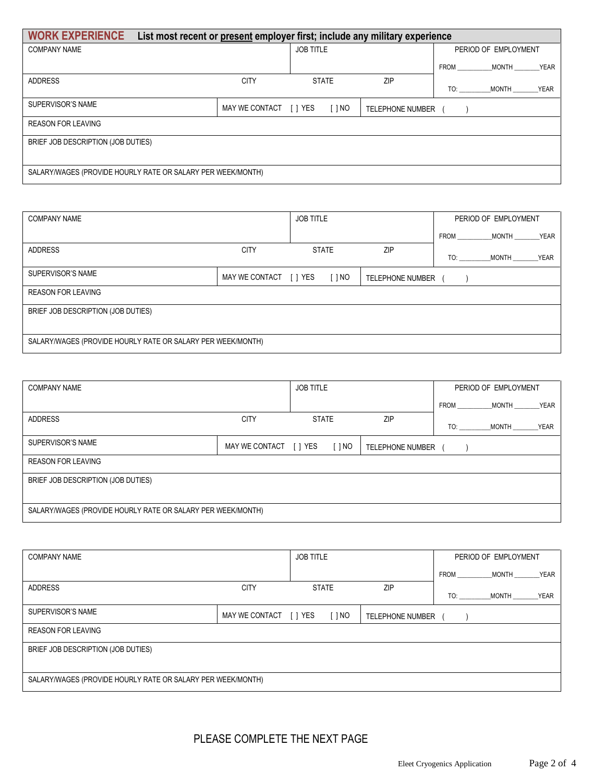| <b>WORK EXPERIENCE</b><br>List most recent or present employer first; include any military experience |                        |                  |            |                         |     |                      |             |
|-------------------------------------------------------------------------------------------------------|------------------------|------------------|------------|-------------------------|-----|----------------------|-------------|
| <b>COMPANY NAME</b>                                                                                   |                        | <b>JOB TITLE</b> |            |                         |     | PERIOD OF EMPLOYMENT |             |
|                                                                                                       |                        |                  |            |                         |     | FROM MONTH YEAR      |             |
| <b>ADDRESS</b>                                                                                        | <b>CITY</b>            | <b>STATE</b>     |            | ZIP                     | TO: | MONTH                | <b>YEAR</b> |
| <b>SUPERVISOR'S NAME</b>                                                                              | MAY WE CONTACT [ ] YES |                  | $[$ $]$ NO | <b>TELEPHONE NUMBER</b> |     |                      |             |
| <b>REASON FOR LEAVING</b>                                                                             |                        |                  |            |                         |     |                      |             |
| BRIEF JOB DESCRIPTION (JOB DUTIES)                                                                    |                        |                  |            |                         |     |                      |             |
|                                                                                                       |                        |                  |            |                         |     |                      |             |
| SALARY/WAGES (PROVIDE HOURLY RATE OR SALARY PER WEEK/MONTH)                                           |                        |                  |            |                         |     |                      |             |

| <b>COMPANY NAME</b>                                         |                        | <b>JOB TITLE</b> |              |                         |             | PERIOD OF EMPLOYMENT |             |
|-------------------------------------------------------------|------------------------|------------------|--------------|-------------------------|-------------|----------------------|-------------|
|                                                             |                        |                  |              |                         | <b>FROM</b> | <b>MONTH</b>         | YEAR        |
| <b>ADDRESS</b>                                              | <b>CITY</b>            |                  | <b>STATE</b> | ZIP                     | TO:         | <b>MONTH</b>         | <b>YEAR</b> |
| SUPERVISOR'S NAME                                           | MAY WE CONTACT [ ] YES |                  | [ ] NO       | <b>TELEPHONE NUMBER</b> |             |                      |             |
| <b>REASON FOR LEAVING</b>                                   |                        |                  |              |                         |             |                      |             |
| BRIEF JOB DESCRIPTION (JOB DUTIES)                          |                        |                  |              |                         |             |                      |             |
|                                                             |                        |                  |              |                         |             |                      |             |
| SALARY/WAGES (PROVIDE HOURLY RATE OR SALARY PER WEEK/MONTH) |                        |                  |              |                         |             |                      |             |

| <b>COMPANY NAME</b>                                         |                        | <b>JOB TITLE</b> |        |                         |             | PERIOD OF EMPLOYMENT |             |
|-------------------------------------------------------------|------------------------|------------------|--------|-------------------------|-------------|----------------------|-------------|
|                                                             |                        |                  |        |                         | <b>FROM</b> | <b>MONTH</b>         | <b>YEAR</b> |
| <b>ADDRESS</b>                                              | <b>CITY</b>            | <b>STATE</b>     |        | ZIP                     | TO:         | MONTH                | <b>YEAR</b> |
| SUPERVISOR'S NAME                                           | MAY WE CONTACT [ ] YES |                  | [ ] NO | <b>TELEPHONE NUMBER</b> |             |                      |             |
| <b>REASON FOR LEAVING</b>                                   |                        |                  |        |                         |             |                      |             |
| BRIEF JOB DESCRIPTION (JOB DUTIES)                          |                        |                  |        |                         |             |                      |             |
|                                                             |                        |                  |        |                         |             |                      |             |
| SALARY/WAGES (PROVIDE HOURLY RATE OR SALARY PER WEEK/MONTH) |                        |                  |        |                         |             |                      |             |

| <b>COMPANY NAME</b>                                         |                        | <b>JOB TITLE</b> |                         | PERIOD OF EMPLOYMENT                                                                                                                                                                                                           |              |      |
|-------------------------------------------------------------|------------------------|------------------|-------------------------|--------------------------------------------------------------------------------------------------------------------------------------------------------------------------------------------------------------------------------|--------------|------|
|                                                             |                        |                  |                         | <b>FROM</b>                                                                                                                                                                                                                    | <b>MONTH</b> | YEAR |
| <b>ADDRESS</b>                                              | <b>CITY</b>            | <b>STATE</b>     | ZIP                     | TO: the contract of the contract of the contract of the contract of the contract of the contract of the contract of the contract of the contract of the contract of the contract of the contract of the contract of the contra | <b>MONTH</b> | YEAR |
| SUPERVISOR'S NAME                                           | MAY WE CONTACT [ ] YES | [ ] NO           | <b>TELEPHONE NUMBER</b> |                                                                                                                                                                                                                                |              |      |
| <b>REASON FOR LEAVING</b>                                   |                        |                  |                         |                                                                                                                                                                                                                                |              |      |
| BRIEF JOB DESCRIPTION (JOB DUTIES)                          |                        |                  |                         |                                                                                                                                                                                                                                |              |      |
|                                                             |                        |                  |                         |                                                                                                                                                                                                                                |              |      |
| SALARY/WAGES (PROVIDE HOURLY RATE OR SALARY PER WEEK/MONTH) |                        |                  |                         |                                                                                                                                                                                                                                |              |      |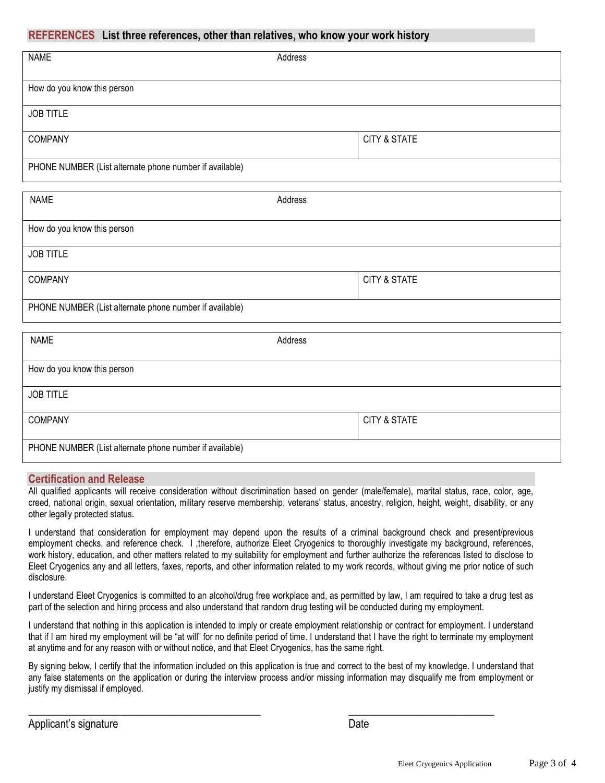### **REFERENCES List three references, other than relatives, who know your work history**

| <b>NAME</b>                                             | Address                 |
|---------------------------------------------------------|-------------------------|
|                                                         |                         |
|                                                         |                         |
| How do you know this person                             |                         |
|                                                         |                         |
|                                                         |                         |
| <b>JOB TITLE</b>                                        |                         |
|                                                         |                         |
|                                                         |                         |
| <b>COMPANY</b>                                          | <b>CITY &amp; STATE</b> |
|                                                         |                         |
|                                                         |                         |
| PHONE NUMBER (List alternate phone number if available) |                         |

| <b>NAME</b>                                             | Address                 |  |  |
|---------------------------------------------------------|-------------------------|--|--|
| How do you know this person                             |                         |  |  |
| <b>JOB TITLE</b>                                        |                         |  |  |
| <b>COMPANY</b>                                          | <b>CITY &amp; STATE</b> |  |  |
| PHONE NUMBER (List alternate phone number if available) |                         |  |  |

| <b>NAME</b>                                             | Address                 |  |  |
|---------------------------------------------------------|-------------------------|--|--|
|                                                         |                         |  |  |
| How do you know this person                             |                         |  |  |
| <b>JOB TITLE</b>                                        |                         |  |  |
| <b>COMPANY</b>                                          | <b>CITY &amp; STATE</b> |  |  |
| PHONE NUMBER (List alternate phone number if available) |                         |  |  |

#### **Certification and Release**

All qualified applicants will receive consideration without discrimination based on gender (male/female), marital status, race, color, age, creed, national origin, sexual orientation, military reserve membership, veterans' status, ancestry, religion, height, weight, disability, or any other legally protected status.

I understand that consideration for employment may depend upon the results of a criminal background check and present/previous employment checks, and reference check. I , therefore, authorize Eleet Cryogenics to thoroughly investigate my background, references, work history, education, and other matters related to my suitability for employment and further authorize the references listed to disclose to Eleet Cryogenics any and all letters, faxes, reports, and other information related to my work records, without giving me prior notice of such disclosure.

I understand Eleet Cryogenics is committed to an alcohol/drug free workplace and, as permitted by law, I am required to take a drug test as part of the selection and hiring process and also understand that random drug testing will be conducted during my employment.

I understand that nothing in this application is intended to imply or create employment relationship or contract for employment. I understand that if I am hired my employment will be "at will" for no definite period of time. I understand that I have the right to terminate my employment at anytime and for any reason with or without notice, and that Eleet Cryogenics, has the same right.

By signing below, I certify that the information included on this application is true and correct to the best of my knowledge. I understand that any false statements on the application or during the interview process and/or missing information may disqualify me from employment or justify my dismissal if employed.

 $\_$  , and the set of the set of the set of the set of the set of the set of the set of the set of the set of the set of the set of the set of the set of the set of the set of the set of the set of the set of the set of th

| Applicant's signature | Date |
|-----------------------|------|
|                       |      |